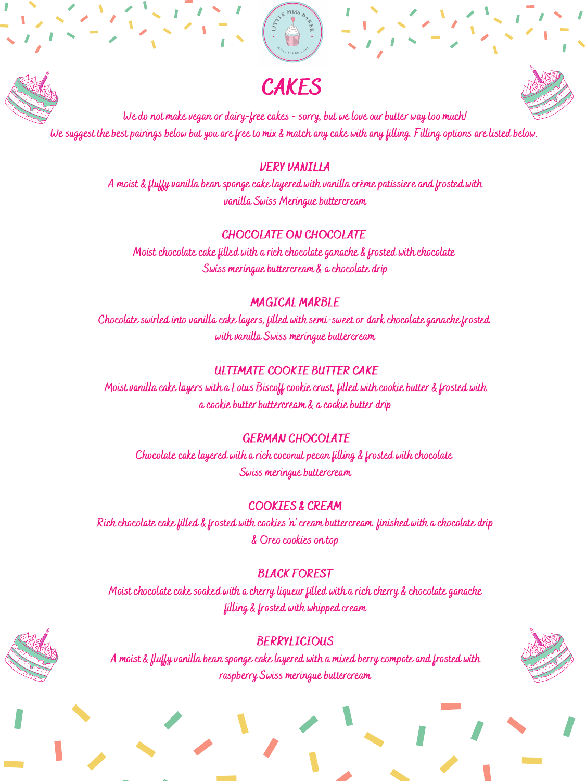

# CAKES



We do not make vegan or dairy-free cakes - sorry, but we love our butter way too much! We suggest the best pairings below but you are free to mix & match any cake with any filling. Filling options are listed below.

## VERY VANILLA

A moist & fluffy vanilla bean sponge cake layered with vanilla crème patissiere and frosted with vanilla Swiss Meringue buttercream

# CHOCOLATE ON CHOCOLATE

Moist chocolate cake filled with a rich chocolate ganache & frosted with chocolate Swiss meringue buttercream & a chocolate drip

## MAGICAL MARBLE

Chocolate swirled into vanilla cake layers, filled with semi-sweet or dark chocolate ganache frosted with vanilla Swiss meringue buttercream

# ULTIMATE COOKIE BUTTER CAKE

Moist vanilla cake layers with a Lotus Biscoff cookie crust, filled with cookie butter & frosted with a cookie butter buttercream & a cookie butter drip

#### GERMAN CHOCOLATE

Chocolate cake layered with a rich coconut pecan filling & frosted with chocolate Swiss meringue buttercream

### COOKIES & CREAM

Rich chocolate cake filled & frosted with cookies ' n 'cream buttercream. finished with a chocolate drip & Oreo cookies on top

### BLACK FOREST

Moist chocolate cake soaked with a cherry liqueur filled with a rich cherry & chocolate ganache filling & frosted with whipped cream

## BERRYLICIOUS

A moist & fluffy vanilla bean sponge cake layered with a mixed berry compote and frosted with raspberry Swiss meringue buttercream